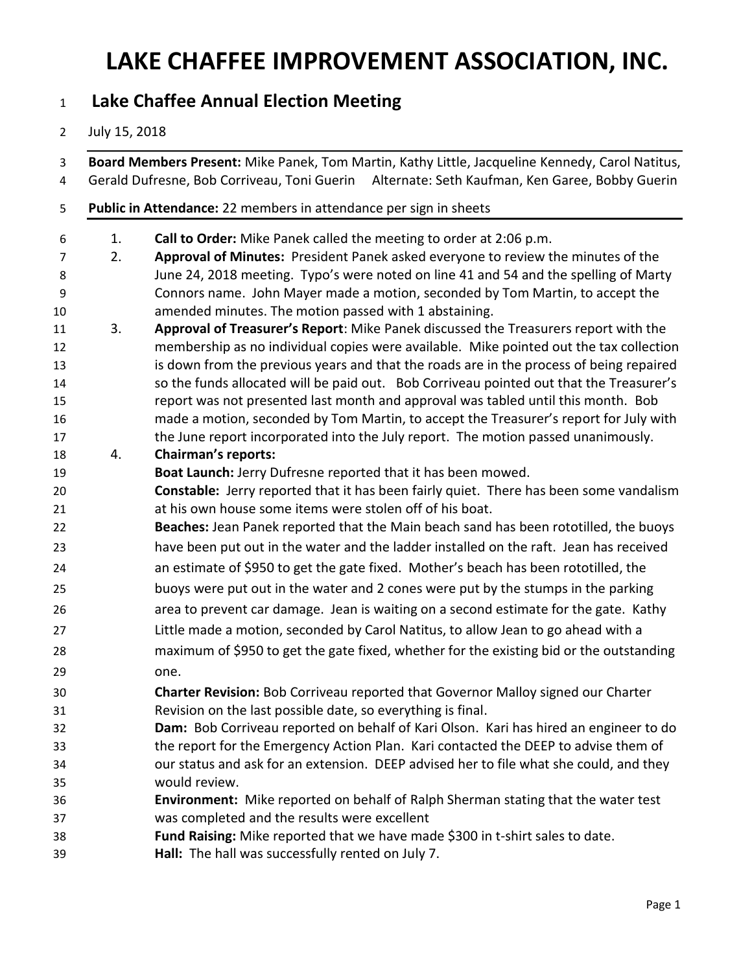#### **Lake Chaffee Annual Election Meeting**

#### July 15, 2018

 **Board Members Present:** Mike Panek, Tom Martin, Kathy Little, Jacqueline Kennedy, Carol Natitus, Gerald Dufresne, Bob Corriveau, Toni Guerin Alternate: Seth Kaufman, Ken Garee, Bobby Guerin **Public in Attendance:** 22 members in attendance per sign in sheets 1. **Call to Order:** Mike Panek called the meeting to order at 2:06 p.m. 2. **Approval of Minutes:** President Panek asked everyone to review the minutes of the June 24, 2018 meeting.Typo's were noted on line 41 and 54 and the spelling of Marty Connors name. John Mayer made a motion, seconded by Tom Martin, to accept the amended minutes. The motion passed with 1 abstaining. 3. **Approval of Treasurer's Report**: Mike Panek discussed the Treasurers report with the membership as no individual copies were available. Mike pointed out the tax collection 13 is down from the previous years and that the roads are in the process of being repaired so the funds allocated will be paid out. Bob Corriveau pointed out that the Treasurer's report was not presented last month and approval was tabled until this month. Bob made a motion, seconded by Tom Martin, to accept the Treasurer's report for July with the June report incorporated into the July report. The motion passed unanimously. 4. **Chairman's reports: Boat Launch:** Jerry Dufresne reported that it has been mowed. **Constable:** Jerry reported that it has been fairly quiet. There has been some vandalism at his own house some items were stolen off of his boat. **Beaches:** Jean Panek reported that the Main beach sand has been rototilled, the buoys have been put out in the water and the ladder installed on the raft. Jean has received an estimate of \$950 to get the gate fixed. Mother's beach has been rototilled, the buoys were put out in the water and 2 cones were put by the stumps in the parking area to prevent car damage. Jean is waiting on a second estimate for the gate. Kathy Little made a motion, seconded by Carol Natitus, to allow Jean to go ahead with a maximum of \$950 to get the gate fixed, whether for the existing bid or the outstanding one. **Charter Revision:** Bob Corriveau reported that Governor Malloy signed our Charter Revision on the last possible date, so everything is final. **Dam:** Bob Corriveau reported on behalf of Kari Olson. Kari has hired an engineer to do the report for the Emergency Action Plan. Kari contacted the DEEP to advise them of our status and ask for an extension. DEEP advised her to file what she could, and they would review. **Environment:** Mike reported on behalf of Ralph Sherman stating that the water test was completed and the results were excellent **Fund Raising:** Mike reported that we have made \$300 in t-shirt sales to date. **Hall:** The hall was successfully rented on July 7.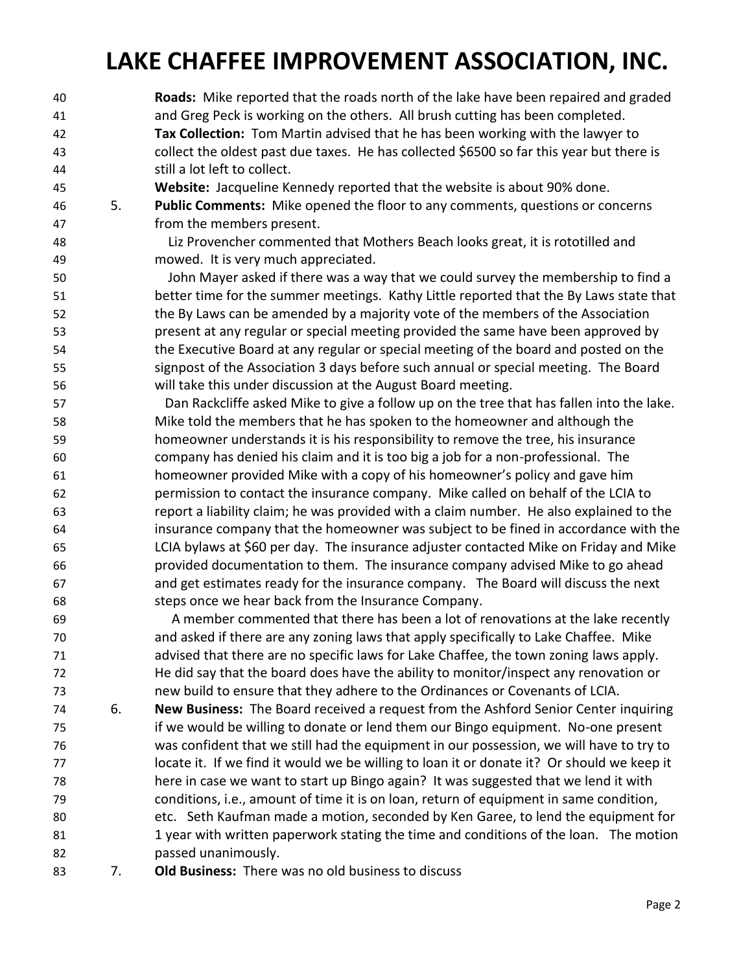**Roads:** Mike reported that the roads north of the lake have been repaired and graded and Greg Peck is working on the others. All brush cutting has been completed. **Tax Collection:** Tom Martin advised that he has been working with the lawyer to collect the oldest past due taxes. He has collected \$6500 so far this year but there is still a lot left to collect.

**Website:** Jacqueline Kennedy reported that the website is about 90% done.

 5. **Public Comments:** Mike opened the floor to any comments, questions or concerns from the members present.

Liz Provencher commented that Mothers Beach looks great, it is rototilled and mowed. It is very much appreciated.

 John Mayer asked if there was a way that we could survey the membership to find a better time for the summer meetings. Kathy Little reported that the By Laws state that the By Laws can be amended by a majority vote of the members of the Association present at any regular or special meeting provided the same have been approved by the Executive Board at any regular or special meeting of the board and posted on the signpost of the Association 3 days before such annual or special meeting. The Board will take this under discussion at the August Board meeting.

 Dan Rackcliffe asked Mike to give a follow up on the tree that has fallen into the lake. Mike told the members that he has spoken to the homeowner and although the homeowner understands it is his responsibility to remove the tree, his insurance company has denied his claim and it is too big a job for a non-professional. The homeowner provided Mike with a copy of his homeowner's policy and gave him permission to contact the insurance company. Mike called on behalf of the LCIA to report a liability claim; he was provided with a claim number. He also explained to the insurance company that the homeowner was subject to be fined in accordance with the LCIA bylaws at \$60 per day. The insurance adjuster contacted Mike on Friday and Mike provided documentation to them. The insurance company advised Mike to go ahead and get estimates ready for the insurance company. The Board will discuss the next steps once we hear back from the Insurance Company.

 A member commented that there has been a lot of renovations at the lake recently and asked if there are any zoning laws that apply specifically to Lake Chaffee. Mike advised that there are no specific laws for Lake Chaffee, the town zoning laws apply. He did say that the board does have the ability to monitor/inspect any renovation or new build to ensure that they adhere to the Ordinances or Covenants of LCIA.

- 6. **New Business:** The Board received a request from the Ashford Senior Center inquiring if we would be willing to donate or lend them our Bingo equipment. No-one present was confident that we still had the equipment in our possession, we will have to try to 77 locate it. If we find it would we be willing to loan it or donate it? Or should we keep it here in case we want to start up Bingo again? It was suggested that we lend it with conditions, i.e., amount of time it is on loan, return of equipment in same condition, etc. Seth Kaufman made a motion, seconded by Ken Garee, to lend the equipment for 1 year with written paperwork stating the time and conditions of the loan.The motion passed unanimously.
- 7. **Old Business:** There was no old business to discuss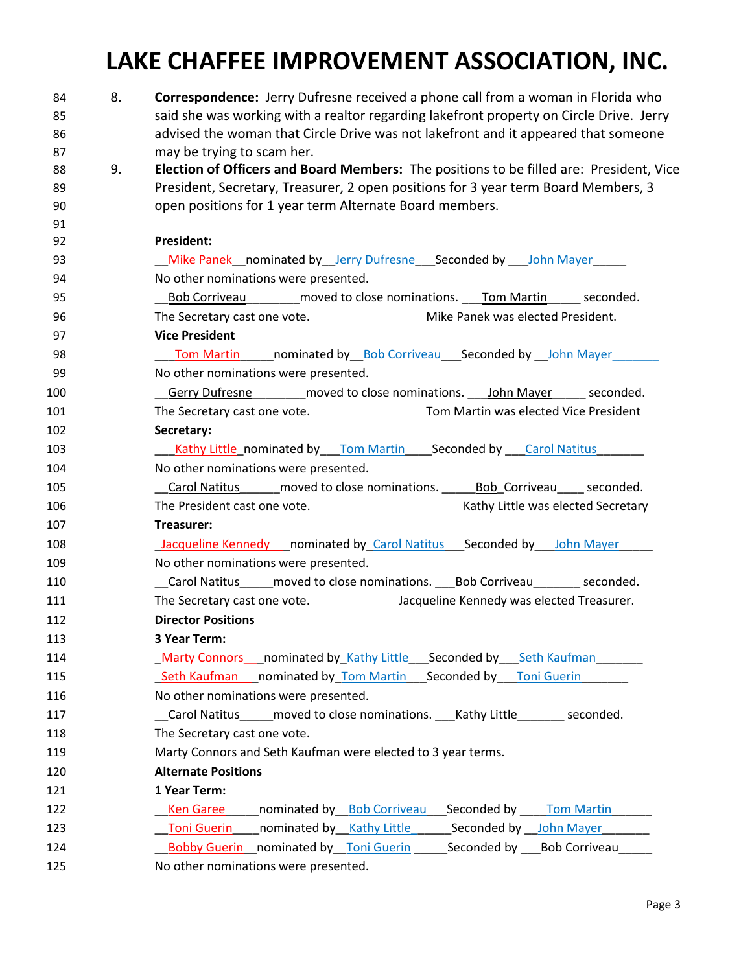| 84<br>85 | 8. | <b>Correspondence:</b> Jerry Dufresne received a phone call from a woman in Florida who<br>said she was working with a realtor regarding lakefront property on Circle Drive. Jerry |
|----------|----|------------------------------------------------------------------------------------------------------------------------------------------------------------------------------------|
| 86       |    | advised the woman that Circle Drive was not lakefront and it appeared that someone                                                                                                 |
| 87       |    | may be trying to scam her.                                                                                                                                                         |
| 88       | 9. | Election of Officers and Board Members: The positions to be filled are: President, Vice                                                                                            |
| 89       |    | President, Secretary, Treasurer, 2 open positions for 3 year term Board Members, 3                                                                                                 |
| 90       |    | open positions for 1 year term Alternate Board members.                                                                                                                            |
| 91       |    |                                                                                                                                                                                    |
| 92       |    | <b>President:</b>                                                                                                                                                                  |
| 93       |    | Mike Panek __ nominated by __ Jerry Dufresne ___ Seconded by ____ John Mayer                                                                                                       |
| 94       |    | No other nominations were presented.                                                                                                                                               |
| 95       |    | Bob Corriveau moved to close nominations. Tom Martin seconded.                                                                                                                     |
| 96       |    | Mike Panek was elected President.<br>The Secretary cast one vote.                                                                                                                  |
| 97       |    | <b>Vice President</b>                                                                                                                                                              |
| 98       |    | <b>Tom Martin nominated by Bob Corriveau Seconded by John Mayer</b>                                                                                                                |
| 99       |    | No other nominations were presented.                                                                                                                                               |
| 100      |    | Gerry Dufresne _______ moved to close nominations. ___ John Mayer _____ seconded.                                                                                                  |
| 101      |    | Tom Martin was elected Vice President<br>The Secretary cast one vote.                                                                                                              |
| 102      |    | Secretary:                                                                                                                                                                         |
| 103      |    | <u>_Kathy Little</u> _nominated by____Tom Martin_____Seconded by ____Carol Natitus________                                                                                         |
| 104      |    | No other nominations were presented.                                                                                                                                               |
| 105      |    | Carol Natitus moved to close nominations. Bob Corriveau seconded.                                                                                                                  |
| 106      |    | The President cast one vote.<br>Kathy Little was elected Secretary                                                                                                                 |
| 107      |    | Treasurer:                                                                                                                                                                         |
| 108      |    | <b>Jacqueline Kennedy</b> nominated by Carol Natitus Seconded by John Mayer                                                                                                        |
| 109      |    | No other nominations were presented.                                                                                                                                               |
| 110      |    | Carol Natitus _____ moved to close nominations. ____ Bob Corriveau ________ seconded.                                                                                              |
| 111      |    | Jacqueline Kennedy was elected Treasurer.<br>The Secretary cast one vote.                                                                                                          |
| 112      |    | <b>Director Positions</b>                                                                                                                                                          |
| 113      |    | 3 Year Term:                                                                                                                                                                       |
| 114      |    | Marty Connors nominated by Kathy Little Seconded by Seth Kaufman                                                                                                                   |
| 115      |    | Seth Kaufman nominated by Tom Martin Seconded by Toni Guerin                                                                                                                       |
| 116      |    | No other nominations were presented.                                                                                                                                               |
| 117      |    | Carol Natitus moved to close nominations. Kathy Little<br>seconded.                                                                                                                |
| 118      |    | The Secretary cast one vote.                                                                                                                                                       |
| 119      |    | Marty Connors and Seth Kaufman were elected to 3 year terms.                                                                                                                       |
| 120      |    | <b>Alternate Positions</b>                                                                                                                                                         |
| 121      |    | 1 Year Term:                                                                                                                                                                       |
| 122      |    | <b>Ken Garee</b><br>nominated by Bob Corriveau Seconded by Tom Martin                                                                                                              |
| 123      |    | nominated by Kathy Little Seconded by John Mayer<br><b>Toni Guerin</b>                                                                                                             |
| 124      |    | <b>Bobby Guerin</b> nominated by Toni Guerin<br>Seconded by Bob Corriveau                                                                                                          |
| 125      |    | No other nominations were presented.                                                                                                                                               |